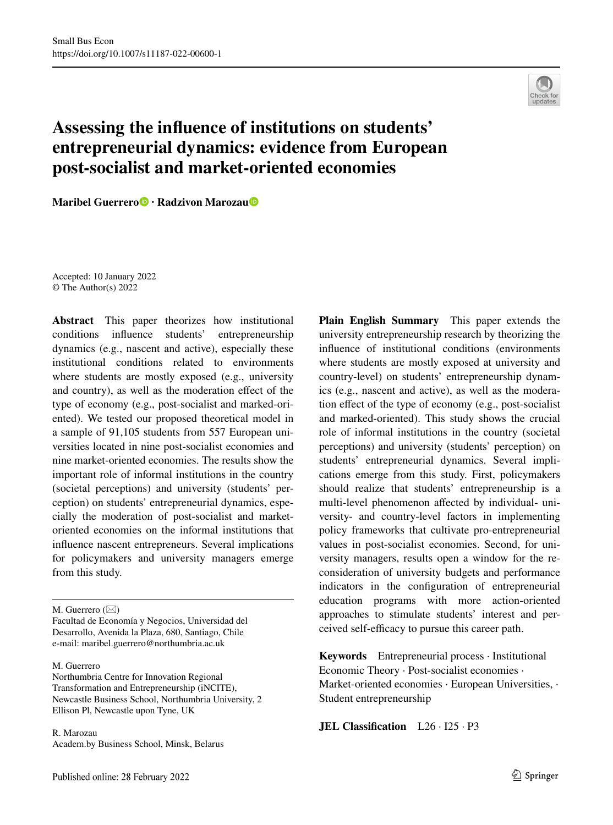

## **Assessing the infuence of institutions on students' entrepreneurial dynamics: evidence from European post‑socialist and market‑oriented economies**

**Maribel Guerrero · Radzivon Maroza[u](http://orcid.org/0000-0001-8769-1497)**

Accepted: 10 January 2022 © The Author(s) 2022

**Abstract** This paper theorizes how institutional conditions infuence students' entrepreneurship dynamics (e.g., nascent and active), especially these institutional conditions related to environments where students are mostly exposed (e.g., university and country), as well as the moderation efect of the type of economy (e.g., post-socialist and marked-oriented). We tested our proposed theoretical model in a sample of 91,105 students from 557 European universities located in nine post-socialist economies and nine market-oriented economies. The results show the important role of informal institutions in the country (societal perceptions) and university (students' perception) on students' entrepreneurial dynamics, especially the moderation of post-socialist and marketoriented economies on the informal institutions that infuence nascent entrepreneurs. Several implications for policymakers and university managers emerge from this study.

M. Guerrero  $(\boxtimes)$ 

Facultad de Economía y Negocios, Universidad del Desarrollo, Avenida la Plaza, 680, Santiago, Chile e-mail: maribel.guerrero@northumbria.ac.uk

#### M. Guerrero

Northumbria Centre for Innovation Regional Transformation and Entrepreneurship (iNCITE), Newcastle Business School, Northumbria University, 2 Ellison Pl, Newcastle upon Tyne, UK

R. Marozau Academ.by Business School, Minsk, Belarus **Plain English Summary** This paper extends the university entrepreneurship research by theorizing the infuence of institutional conditions (environments where students are mostly exposed at university and country-level) on students' entrepreneurship dynamics (e.g., nascent and active), as well as the moderation efect of the type of economy (e.g., post-socialist and marked-oriented). This study shows the crucial role of informal institutions in the country (societal perceptions) and university (students' perception) on students' entrepreneurial dynamics. Several implications emerge from this study. First, policymakers should realize that students' entrepreneurship is a multi-level phenomenon afected by individual- university- and country-level factors in implementing policy frameworks that cultivate pro-entrepreneurial values in post-socialist economies. Second, for university managers, results open a window for the reconsideration of university budgets and performance indicators in the confguration of entrepreneurial education programs with more action-oriented approaches to stimulate students' interest and perceived self-efficacy to pursue this career path.

**Keywords** Entrepreneurial process · Institutional Economic Theory · Post-socialist economies · Market-oriented economies · European Universities, · Student entrepreneurship

**JEL Classifcation** L26 · I25 · P3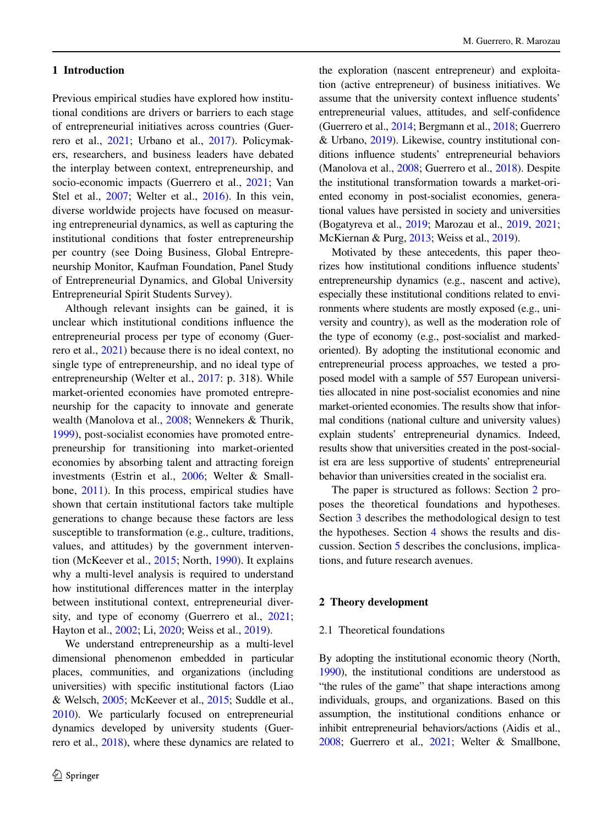## **1 Introduction**

Previous empirical studies have explored how institutional conditions are drivers or barriers to each stage of entrepreneurial initiatives across countries (Guerrero et al., [2021;](#page-14-0) Urbano et al., [2017](#page-15-0)). Policymakers, researchers, and business leaders have debated the interplay between context, entrepreneurship, and socio-economic impacts (Guerrero et al., [2021;](#page-14-0) Van Stel et al., [2007;](#page-15-1) Welter et al., [2016\)](#page-16-0). In this vein, diverse worldwide projects have focused on measuring entrepreneurial dynamics, as well as capturing the institutional conditions that foster entrepreneurship per country (see Doing Business, Global Entrepreneurship Monitor, Kaufman Foundation, Panel Study of Entrepreneurial Dynamics, and Global University Entrepreneurial Spirit Students Survey).

Although relevant insights can be gained, it is unclear which institutional conditions infuence the entrepreneurial process per type of economy (Guerrero et al., [2021](#page-14-0)) because there is no ideal context, no single type of entrepreneurship, and no ideal type of entrepreneurship (Welter et al., [2017:](#page-16-1) p. 318). While market-oriented economies have promoted entrepreneurship for the capacity to innovate and generate wealth (Manolova et al., [2008](#page-15-2); Wennekers & Thurik, [1999\)](#page-16-2), post-socialist economies have promoted entrepreneurship for transitioning into market-oriented economies by absorbing talent and attracting foreign investments (Estrin et al., [2006](#page-14-1); Welter & Smallbone, [2011\)](#page-16-3). In this process, empirical studies have shown that certain institutional factors take multiple generations to change because these factors are less susceptible to transformation (e.g., culture, traditions, values, and attitudes) by the government intervention (McKeever et al., [2015](#page-15-3); North, [1990\)](#page-15-4). It explains why a multi-level analysis is required to understand how institutional diferences matter in the interplay between institutional context, entrepreneurial diversity, and type of economy (Guerrero et al., [2021](#page-14-0); Hayton et al., [2002;](#page-14-2) Li, [2020;](#page-15-5) Weiss et al., [2019\)](#page-16-4).

We understand entrepreneurship as a multi-level dimensional phenomenon embedded in particular places, communities, and organizations (including universities) with specifc institutional factors (Liao & Welsch, [2005;](#page-15-6) McKeever et al., [2015;](#page-15-3) Suddle et al., [2010](#page-15-7)). We particularly focused on entrepreneurial dynamics developed by university students (Guerrero et al., [2018](#page-14-3)), where these dynamics are related to

the exploration (nascent entrepreneur) and exploitation (active entrepreneur) of business initiatives. We assume that the university context infuence students' entrepreneurial values, attitudes, and self-confdence (Guerrero et al., [2014;](#page-14-4) Bergmann et al., [2018;](#page-14-5) Guerrero & Urbano, [2019](#page-14-6)). Likewise, country institutional conditions infuence students' entrepreneurial behaviors (Manolova et al., [2008](#page-15-2); Guerrero et al., [2018\)](#page-14-3). Despite the institutional transformation towards a market-oriented economy in post-socialist economies, generational values have persisted in society and universities (Bogatyreva et al., [2019;](#page-14-7) Marozau et al., [2019,](#page-15-8) [2021;](#page-15-9) McKiernan & Purg, [2013;](#page-15-10) Weiss et al., [2019\)](#page-16-4).

Motivated by these antecedents, this paper theorizes how institutional conditions infuence students' entrepreneurship dynamics (e.g., nascent and active), especially these institutional conditions related to environments where students are mostly exposed (e.g., university and country), as well as the moderation role of the type of economy (e.g., post-socialist and markedoriented). By adopting the institutional economic and entrepreneurial process approaches, we tested a proposed model with a sample of 557 European universities allocated in nine post-socialist economies and nine market-oriented economies. The results show that informal conditions (national culture and university values) explain students' entrepreneurial dynamics. Indeed, results show that universities created in the post-socialist era are less supportive of students' entrepreneurial behavior than universities created in the socialist era.

The paper is structured as follows: Section [2](#page-1-0) proposes the theoretical foundations and hypotheses. Section [3](#page-4-0) describes the methodological design to test the hypotheses. Section [4](#page-7-0) shows the results and discussion. Section [5](#page-10-0) describes the conclusions, implications, and future research avenues.

#### <span id="page-1-0"></span>**2 Theory development**

#### 2.1 Theoretical foundations

By adopting the institutional economic theory (North, [1990](#page-15-4)), the institutional conditions are understood as "the rules of the game" that shape interactions among individuals, groups, and organizations. Based on this assumption, the institutional conditions enhance or inhibit entrepreneurial behaviors/actions (Aidis et al., [2008](#page-14-8); Guerrero et al., [2021](#page-14-0); Welter & Smallbone,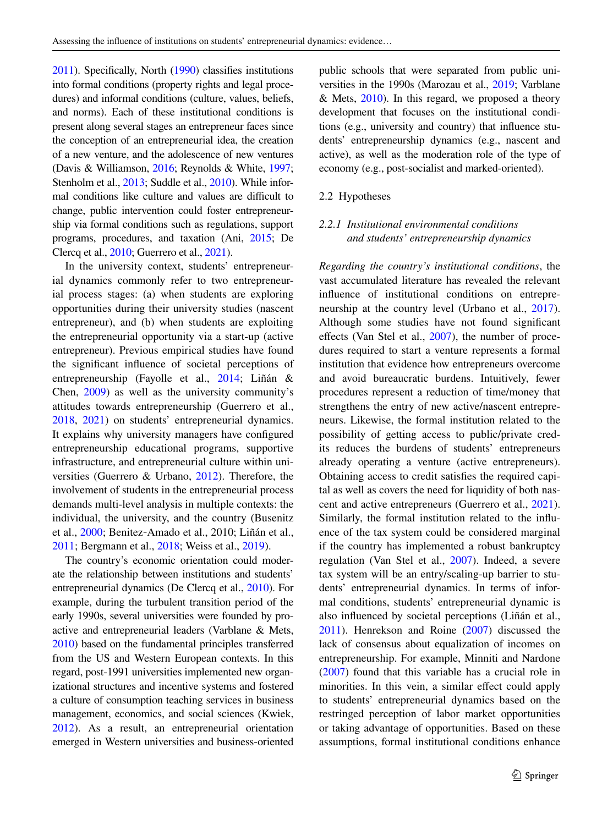[2011](#page-16-3)). Specifcally, North [\(1990\)](#page-15-4) classifes institutions into formal conditions (property rights and legal procedures) and informal conditions (culture, values, beliefs, and norms). Each of these institutional conditions is present along several stages an entrepreneur faces since the conception of an entrepreneurial idea, the creation of a new venture, and the adolescence of new ventures (Davis & Williamson, [2016;](#page-14-9) Reynolds & White, [1997](#page-15-11); Stenholm et al., [2013](#page-15-12); Suddle et al., [2010\)](#page-15-7). While informal conditions like culture and values are difficult to change, public intervention could foster entrepreneurship via formal conditions such as regulations, support programs, procedures, and taxation (Ani, [2015;](#page-14-10) De Clercq et al., [2010](#page-14-11); Guerrero et al., [2021](#page-14-0)).

In the university context, students' entrepreneurial dynamics commonly refer to two entrepreneurial process stages: (a) when students are exploring opportunities during their university studies (nascent entrepreneur), and (b) when students are exploiting the entrepreneurial opportunity via a start-up (active entrepreneur). Previous empirical studies have found the signifcant infuence of societal perceptions of entrepreneurship (Fayolle et al., [2014](#page-14-12); Liñán & Chen, [2009\)](#page-15-13) as well as the university community's attitudes towards entrepreneurship (Guerrero et al., [2018,](#page-14-3) [2021\)](#page-14-0) on students' entrepreneurial dynamics. It explains why university managers have confgured entrepreneurship educational programs, supportive infrastructure, and entrepreneurial culture within universities (Guerrero & Urbano, [2012\)](#page-14-13). Therefore, the involvement of students in the entrepreneurial process demands multi-level analysis in multiple contexts: the individual, the university, and the country (Busenitz et al., [2000;](#page-14-14) Benitez‐Amado et al., 2010; Liñán et al., [2011;](#page-15-14) Bergmann et al., [2018](#page-14-5); Weiss et al., [2019](#page-16-4)).

The country's economic orientation could moderate the relationship between institutions and students' entrepreneurial dynamics (De Clercq et al., [2010](#page-14-11)). For example, during the turbulent transition period of the early 1990s, several universities were founded by proactive and entrepreneurial leaders (Varblane & Mets, [2010](#page-16-5)) based on the fundamental principles transferred from the US and Western European contexts. In this regard, post-1991 universities implemented new organizational structures and incentive systems and fostered a culture of consumption teaching services in business management, economics, and social sciences (Kwiek, [2012](#page-15-15)). As a result, an entrepreneurial orientation emerged in Western universities and business-oriented public schools that were separated from public universities in the 1990s (Marozau et al., [2019](#page-15-8); Varblane  $& Mets, 2010$ . In this regard, we proposed a theory development that focuses on the institutional conditions (e.g., university and country) that infuence students' entrepreneurship dynamics (e.g., nascent and active), as well as the moderation role of the type of economy (e.g., post-socialist and marked-oriented).

## 2.2 Hypotheses

## *2.2.1 Institutional environmental conditions and students' entrepreneurship dynamics*

*Regarding the country's institutional conditions*, the vast accumulated literature has revealed the relevant infuence of institutional conditions on entrepre-neurship at the country level (Urbano et al., [2017\)](#page-15-0). Although some studies have not found signifcant effects (Van Stel et al., [2007](#page-15-1)), the number of procedures required to start a venture represents a formal institution that evidence how entrepreneurs overcome and avoid bureaucratic burdens. Intuitively, fewer procedures represent a reduction of time/money that strengthens the entry of new active/nascent entrepreneurs. Likewise, the formal institution related to the possibility of getting access to public/private credits reduces the burdens of students' entrepreneurs already operating a venture (active entrepreneurs). Obtaining access to credit satisfes the required capital as well as covers the need for liquidity of both nascent and active entrepreneurs (Guerrero et al., [2021\)](#page-14-0). Similarly, the formal institution related to the infuence of the tax system could be considered marginal if the country has implemented a robust bankruptcy regulation (Van Stel et al., [2007\)](#page-15-1). Indeed, a severe tax system will be an entry/scaling-up barrier to students' entrepreneurial dynamics. In terms of informal conditions, students' entrepreneurial dynamic is also infuenced by societal perceptions (Liñán et al., [2011\)](#page-15-14). Henrekson and Roine [\(2007](#page-15-16)) discussed the lack of consensus about equalization of incomes on entrepreneurship. For example, Minniti and Nardone [\(2007](#page-15-17)) found that this variable has a crucial role in minorities. In this vein, a similar efect could apply to students' entrepreneurial dynamics based on the restringed perception of labor market opportunities or taking advantage of opportunities. Based on these assumptions, formal institutional conditions enhance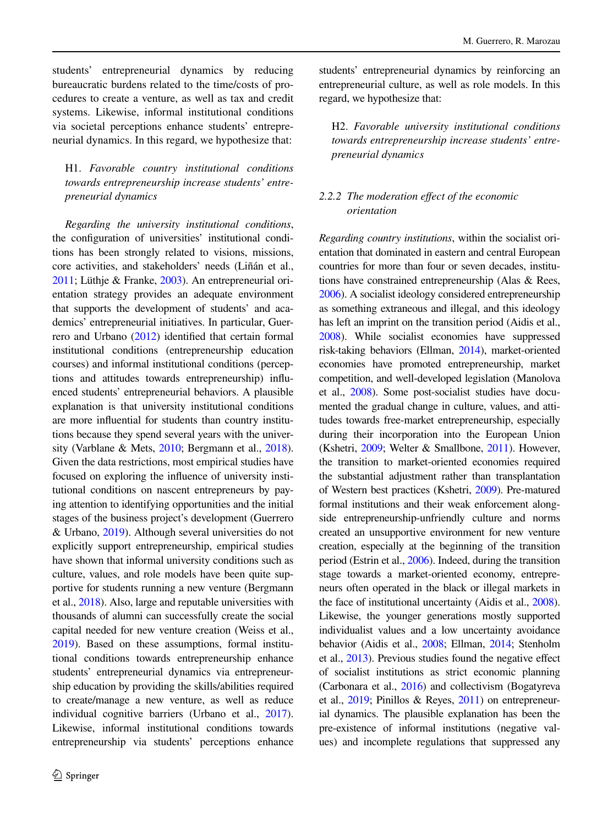students' entrepreneurial dynamics by reducing bureaucratic burdens related to the time/costs of procedures to create a venture, as well as tax and credit systems. Likewise, informal institutional conditions via societal perceptions enhance students' entrepreneurial dynamics. In this regard, we hypothesize that:

## H1. *Favorable country institutional conditions towards entrepreneurship increase students' entrepreneurial dynamics*

*Regarding the university institutional conditions*, the confguration of universities' institutional conditions has been strongly related to visions, missions, core activities, and stakeholders' needs (Liñán et al., [2011](#page-15-14); Lüthje & Franke, [2003\)](#page-15-18). An entrepreneurial orientation strategy provides an adequate environment that supports the development of students' and academics' entrepreneurial initiatives. In particular, Guerrero and Urbano [\(2012\)](#page-14-13) identifed that certain formal institutional conditions (entrepreneurship education courses) and informal institutional conditions (perceptions and attitudes towards entrepreneurship) infuenced students' entrepreneurial behaviors. A plausible explanation is that university institutional conditions are more infuential for students than country institutions because they spend several years with the university (Varblane & Mets, [2010;](#page-16-5) Bergmann et al., [2018](#page-14-5)). Given the data restrictions, most empirical studies have focused on exploring the infuence of university institutional conditions on nascent entrepreneurs by paying attention to identifying opportunities and the initial stages of the business project's development (Guerrero & Urbano, [2019](#page-14-6)). Although several universities do not explicitly support entrepreneurship, empirical studies have shown that informal university conditions such as culture, values, and role models have been quite supportive for students running a new venture (Bergmann et al., [2018\)](#page-14-5). Also, large and reputable universities with thousands of alumni can successfully create the social capital needed for new venture creation (Weiss et al., [2019](#page-16-4)). Based on these assumptions, formal institutional conditions towards entrepreneurship enhance students' entrepreneurial dynamics via entrepreneurship education by providing the skills/abilities required to create/manage a new venture, as well as reduce individual cognitive barriers (Urbano et al., [2017](#page-15-0)). Likewise, informal institutional conditions towards entrepreneurship via students' perceptions enhance

students' entrepreneurial dynamics by reinforcing an entrepreneurial culture, as well as role models. In this regard, we hypothesize that:

H2. *Favorable university institutional conditions towards entrepreneurship increase students' entrepreneurial dynamics*

## *2.2.2 The moderation efect of the economic orientation*

*Regarding country institutions*, within the socialist orientation that dominated in eastern and central European countries for more than four or seven decades, institutions have constrained entrepreneurship (Alas & Rees, [2006](#page-14-15)). A socialist ideology considered entrepreneurship as something extraneous and illegal, and this ideology has left an imprint on the transition period (Aidis et al., [2008](#page-14-8)). While socialist economies have suppressed risk-taking behaviors (Ellman, [2014\)](#page-14-16), market-oriented economies have promoted entrepreneurship, market competition, and well-developed legislation (Manolova et al., [2008](#page-15-2)). Some post-socialist studies have documented the gradual change in culture, values, and attitudes towards free-market entrepreneurship, especially during their incorporation into the European Union (Kshetri, [2009;](#page-15-19) Welter & Smallbone, [2011](#page-16-3)). However, the transition to market-oriented economies required the substantial adjustment rather than transplantation of Western best practices (Kshetri, [2009\)](#page-15-19). Pre-matured formal institutions and their weak enforcement alongside entrepreneurship-unfriendly culture and norms created an unsupportive environment for new venture creation, especially at the beginning of the transition period (Estrin et al., [2006](#page-14-1)). Indeed, during the transition stage towards a market-oriented economy, entrepreneurs often operated in the black or illegal markets in the face of institutional uncertainty (Aidis et al., [2008\)](#page-14-8). Likewise, the younger generations mostly supported individualist values and a low uncertainty avoidance behavior (Aidis et al., [2008](#page-14-8); Ellman, [2014;](#page-14-16) Stenholm et al., [2013\)](#page-15-12). Previous studies found the negative efect of socialist institutions as strict economic planning (Carbonara et al., [2016](#page-14-17)) and collectivism (Bogatyreva et al., [2019;](#page-14-7) Pinillos & Reyes, [2011\)](#page-15-20) on entrepreneurial dynamics. The plausible explanation has been the pre-existence of informal institutions (negative values) and incomplete regulations that suppressed any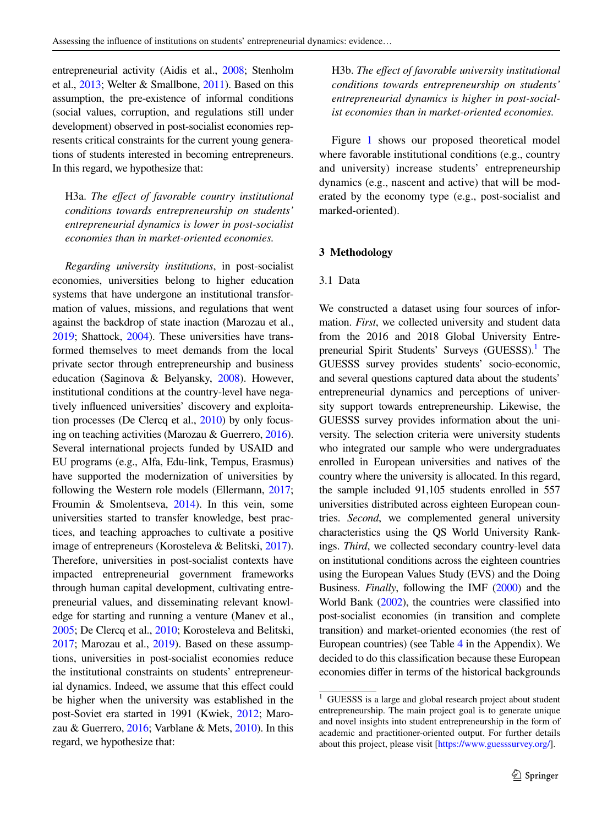entrepreneurial activity (Aidis et al., [2008;](#page-14-8) Stenholm et al., [2013](#page-15-12); Welter & Smallbone, [2011\)](#page-16-3). Based on this assumption, the pre-existence of informal conditions (social values, corruption, and regulations still under development) observed in post-socialist economies represents critical constraints for the current young generations of students interested in becoming entrepreneurs. In this regard, we hypothesize that:

H3a. *The efect of favorable country institutional conditions towards entrepreneurship on students' entrepreneurial dynamics is lower in post-socialist economies than in market-oriented economies.*

*Regarding university institutions*, in post-socialist economies, universities belong to higher education systems that have undergone an institutional transformation of values, missions, and regulations that went against the backdrop of state inaction (Marozau et al., [2019](#page-15-8); Shattock, [2004\)](#page-15-21). These universities have transformed themselves to meet demands from the local private sector through entrepreneurship and business education (Saginova & Belyansky, [2008](#page-15-22)). However, institutional conditions at the country-level have negatively infuenced universities' discovery and exploitation processes (De Clercq et al., [2010](#page-14-11)) by only focusing on teaching activities (Marozau & Guerrero, [2016](#page-15-23)). Several international projects funded by USAID and EU programs (e.g., Alfa, Edu-link, Tempus, Erasmus) have supported the modernization of universities by following the Western role models (Ellermann, [2017](#page-14-18); Froumin & Smolentseva, [2014\)](#page-14-19). In this vein, some universities started to transfer knowledge, best practices, and teaching approaches to cultivate a positive image of entrepreneurs (Korosteleva & Belitski, [2017](#page-15-24)). Therefore, universities in post-socialist contexts have impacted entrepreneurial government frameworks through human capital development, cultivating entrepreneurial values, and disseminating relevant knowledge for starting and running a venture (Manev et al., [2005](#page-15-25); De Clercq et al., [2010](#page-14-11); Korosteleva and Belitski, [2017](#page-15-24); Marozau et al., [2019](#page-15-8)). Based on these assumptions, universities in post-socialist economies reduce the institutional constraints on students' entrepreneurial dynamics. Indeed, we assume that this effect could be higher when the university was established in the post-Soviet era started in 1991 (Kwiek, [2012](#page-15-15); Marozau & Guerrero, [2016;](#page-15-23) Varblane & Mets, [2010](#page-16-5)). In this regard, we hypothesize that:

H3b. *The efect of favorable university institutional conditions towards entrepreneurship on students' entrepreneurial dynamics is higher in post-socialist economies than in market-oriented economies.*

Figure [1](#page-5-0) shows our proposed theoretical model where favorable institutional conditions (e.g., country and university) increase students' entrepreneurship dynamics (e.g., nascent and active) that will be moderated by the economy type (e.g., post-socialist and marked-oriented).

#### <span id="page-4-0"></span>**3 Methodology**

#### 3.1 Data

We constructed a dataset using four sources of information. *First*, we collected university and student data from the 2016 and 2018 Global University Entre-preneurial Spirit Students' Surveys (GUESSS).<sup>[1](#page-4-1)</sup> The GUESSS survey provides students' socio-economic, and several questions captured data about the students' entrepreneurial dynamics and perceptions of university support towards entrepreneurship. Likewise, the GUESSS survey provides information about the university. The selection criteria were university students who integrated our sample who were undergraduates enrolled in European universities and natives of the country where the university is allocated. In this regard, the sample included 91,105 students enrolled in 557 universities distributed across eighteen European countries. *Second*, we complemented general university characteristics using the QS World University Rankings. *Third*, we collected secondary country-level data on institutional conditions across the eighteen countries using the European Values Study (EVS) and the Doing Business. *Finally*, following the IMF [\(2000](#page-15-26)) and the World Bank [\(2002](#page-16-6)), the countries were classifed into post-socialist economies (in transition and complete transition) and market-oriented economies (the rest of European countries) (see Table [4](#page-12-0) in the Appendix). We decided to do this classifcation because these European economies difer in terms of the historical backgrounds

<span id="page-4-1"></span><sup>&</sup>lt;sup>1</sup> GUESSS is a large and global research project about student entrepreneurship. The main project goal is to generate unique and novel insights into student entrepreneurship in the form of academic and practitioner-oriented output. For further details about this project, please visit [\[https://www.guesssurvey.org/](https://www.guesssurvey.org/)].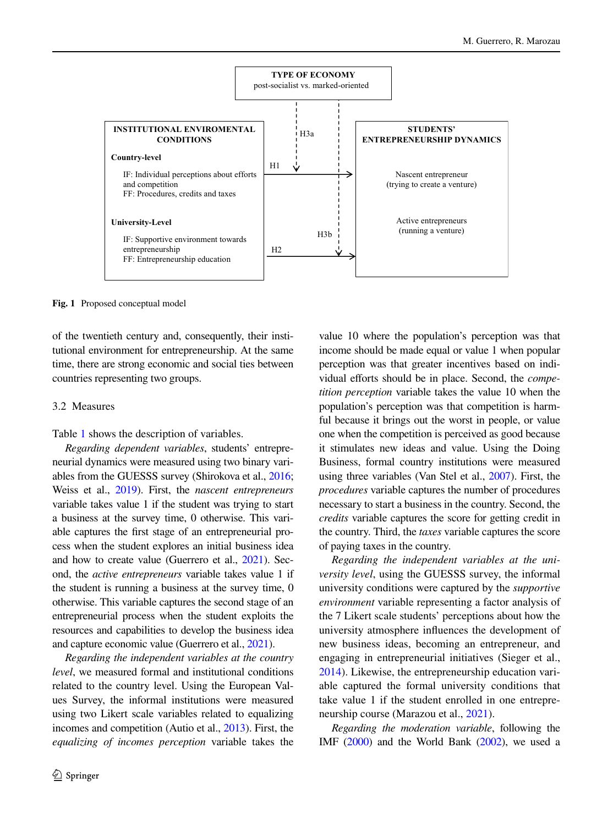

<span id="page-5-0"></span>**Fig. 1** Proposed conceptual model

of the twentieth century and, consequently, their institutional environment for entrepreneurship. At the same time, there are strong economic and social ties between countries representing two groups.

#### 3.2 Measures

Table [1](#page-6-0) shows the description of variables.

*Regarding dependent variables*, students' entrepreneurial dynamics were measured using two binary variables from the GUESSS survey (Shirokova et al., [2016](#page-15-27); Weiss et al., [2019](#page-16-4)). First, the *nascent entrepreneurs* variable takes value 1 if the student was trying to start a business at the survey time, 0 otherwise. This variable captures the frst stage of an entrepreneurial process when the student explores an initial business idea and how to create value (Guerrero et al., [2021](#page-14-0)). Second, the *active entrepreneurs* variable takes value 1 if the student is running a business at the survey time, 0 otherwise. This variable captures the second stage of an entrepreneurial process when the student exploits the resources and capabilities to develop the business idea and capture economic value (Guerrero et al., [2021](#page-14-0)).

*Regarding the independent variables at the country level*, we measured formal and institutional conditions related to the country level. Using the European Values Survey, the informal institutions were measured using two Likert scale variables related to equalizing incomes and competition (Autio et al., [2013](#page-14-20)). First, the *equalizing of incomes perception* variable takes the value 10 where the population's perception was that income should be made equal or value 1 when popular perception was that greater incentives based on individual efforts should be in place. Second, the *competition perception* variable takes the value 10 when the population's perception was that competition is harmful because it brings out the worst in people, or value one when the competition is perceived as good because it stimulates new ideas and value. Using the Doing Business, formal country institutions were measured using three variables (Van Stel et al., [2007\)](#page-15-1). First, the *procedures* variable captures the number of procedures necessary to start a business in the country. Second, the *credits* variable captures the score for getting credit in the country. Third, the *taxes* variable captures the score of paying taxes in the country.

*Regarding the independent variables at the university level*, using the GUESSS survey, the informal university conditions were captured by the *supportive environment* variable representing a factor analysis of the 7 Likert scale students' perceptions about how the university atmosphere infuences the development of new business ideas, becoming an entrepreneur, and engaging in entrepreneurial initiatives (Sieger et al., [2014\)](#page-15-28). Likewise, the entrepreneurship education variable captured the formal university conditions that take value 1 if the student enrolled in one entrepreneurship course (Marazou et al., [2021](#page-15-9)).

*Regarding the moderation variable*, following the IMF [\(2000](#page-15-26)) and the World Bank ([2002\)](#page-16-6), we used a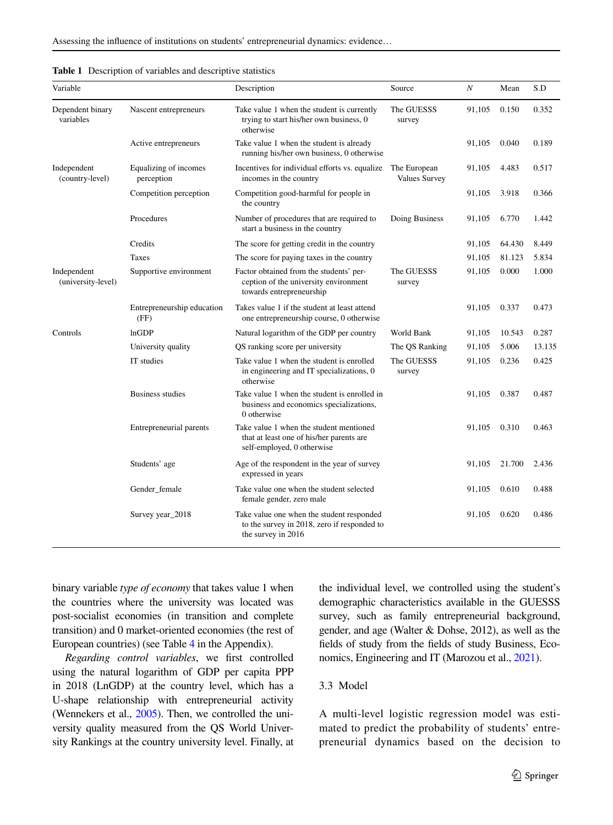| Variable                          |                                     | Description                                                                                                       | Source                               | $\cal N$ | Mean   | S.D    |
|-----------------------------------|-------------------------------------|-------------------------------------------------------------------------------------------------------------------|--------------------------------------|----------|--------|--------|
| Dependent binary<br>variables     | Nascent entrepreneurs               | Take value 1 when the student is currently<br>trying to start his/her own business, 0<br>otherwise                | The GUESSS<br>survey                 | 91,105   | 0.150  | 0.352  |
|                                   | Active entrepreneurs                | Take value 1 when the student is already<br>running his/her own business, 0 otherwise                             |                                      | 91,105   | 0.040  | 0.189  |
| Independent<br>(country-level)    | Equalizing of incomes<br>perception | Incentives for individual efforts vs. equalize<br>incomes in the country                                          | The European<br><b>Values Survey</b> | 91,105   | 4.483  | 0.517  |
|                                   | Competition perception              | Competition good-harmful for people in<br>the country                                                             |                                      | 91,105   | 3.918  | 0.366  |
|                                   | Procedures                          | Number of procedures that are required to<br>start a business in the country                                      | Doing Business                       | 91,105   | 6.770  | 1.442  |
|                                   | Credits                             | The score for getting credit in the country                                                                       |                                      | 91,105   | 64.430 | 8.449  |
|                                   | Taxes                               | The score for paying taxes in the country                                                                         |                                      | 91,105   | 81.123 | 5.834  |
| Independent<br>(university-level) | Supportive environment              | Factor obtained from the students' per-<br>ception of the university environment<br>towards entrepreneurship      | The GUESSS<br>survey                 |          | 0.000  | 1.000  |
|                                   | Entrepreneurship education<br>(FF)  | Takes value 1 if the student at least attend<br>one entrepreneurship course, 0 otherwise                          |                                      | 91,105   | 0.337  | 0.473  |
| Controls                          | lnGDP                               | Natural logarithm of the GDP per country                                                                          | World Bank                           | 91,105   | 10.543 | 0.287  |
|                                   | University quality                  | QS ranking score per university                                                                                   | The QS Ranking                       | 91,105   | 5.006  | 13.135 |
|                                   | IT studies                          | Take value 1 when the student is enrolled<br>in engineering and IT specializations, 0<br>otherwise                | The GUESSS<br>survey                 | 91,105   | 0.236  | 0.425  |
|                                   | <b>Business studies</b>             | Take value 1 when the student is enrolled in<br>business and economics specializations,<br>0 otherwise            |                                      | 91,105   | 0.387  | 0.487  |
|                                   | Entrepreneurial parents             | Take value 1 when the student mentioned<br>that at least one of his/her parents are<br>self-employed, 0 otherwise |                                      | 91,105   | 0.310  | 0.463  |
|                                   | Students' age                       | Age of the respondent in the year of survey<br>expressed in years                                                 |                                      | 91,105   | 21.700 | 2.436  |
|                                   | Gender_female                       | Take value one when the student selected<br>female gender, zero male                                              |                                      | 91,105   | 0.610  | 0.488  |
|                                   | Survey year_2018                    | Take value one when the student responded<br>to the survey in 2018, zero if responded to<br>the survey in 2016    |                                      | 91,105   | 0.620  | 0.486  |

<span id="page-6-0"></span>

|  |  |  |  |  |  |  |  | <b>Table 1</b> Description of variables and descriptive statistics |
|--|--|--|--|--|--|--|--|--------------------------------------------------------------------|
|--|--|--|--|--|--|--|--|--------------------------------------------------------------------|

binary variable *type of economy* that takes value 1 when the countries where the university was located was post-socialist economies (in transition and complete transition) and 0 market-oriented economies (the rest of European countries) (see Table [4](#page-12-0) in the Appendix).

*Regarding control variables*, we frst controlled using the natural logarithm of GDP per capita PPP in 2018 (LnGDP) at the country level, which has a U-shape relationship with entrepreneurial activity (Wennekers et al., [2005](#page-16-7)). Then, we controlled the university quality measured from the QS World University Rankings at the country university level. Finally, at the individual level, we controlled using the student's demographic characteristics available in the GUESSS survey, such as family entrepreneurial background, gender, and age (Walter & Dohse, 2012), as well as the felds of study from the felds of study Business, Economics, Engineering and IT (Marozou et al., [2021](#page-15-9)).

## 3.3 Model

A multi-level logistic regression model was estimated to predict the probability of students' entrepreneurial dynamics based on the decision to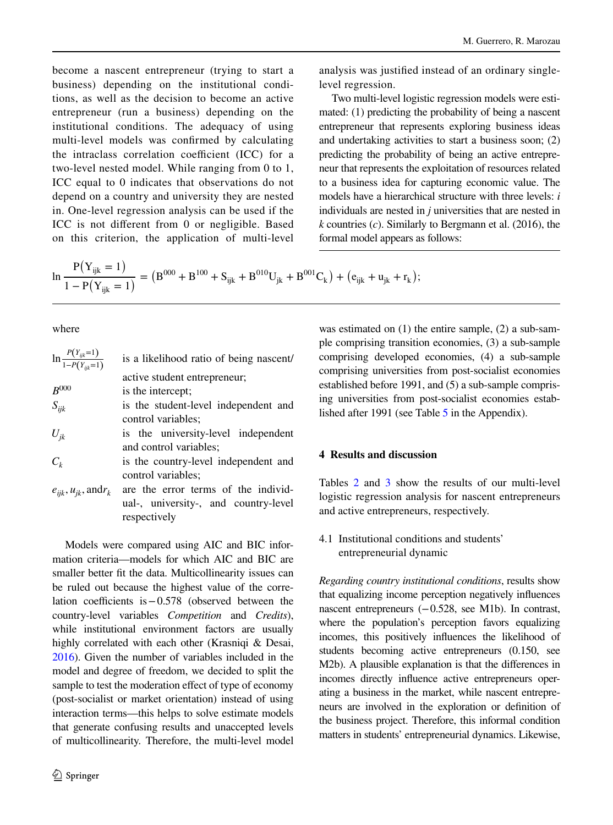become a nascent entrepreneur (trying to start a business) depending on the institutional conditions, as well as the decision to become an active entrepreneur (run a business) depending on the institutional conditions. The adequacy of using multi-level models was confrmed by calculating the intraclass correlation coefficient (ICC) for a two-level nested model. While ranging from 0 to 1, ICC equal to 0 indicates that observations do not depend on a country and university they are nested in. One-level regression analysis can be used if the ICC is not diferent from 0 or negligible. Based on this criterion, the application of multi-level

analysis was justifed instead of an ordinary singlelevel regression.

Two multi-level logistic regression models were estimated: (1) predicting the probability of being a nascent entrepreneur that represents exploring business ideas and undertaking activities to start a business soon; (2) predicting the probability of being an active entrepreneur that represents the exploitation of resources related to a business idea for capturing economic value. The models have a hierarchical structure with three levels: *i* individuals are nested in *j* universities that are nested in *k* countries (*c*). Similarly to Bergmann et al. (2016), the formal model appears as follows:

$$
\ln \frac{P(Y_{ijk} = 1)}{1 - P(Y_{ijk} = 1)} = (B^{000} + B^{100} + S_{ijk} + B^{010}U_{jk} + B^{001}C_k) + (e_{ijk} + u_{jk} + r_k);
$$

where

| $\ln \frac{P(Y_{ijk}=1)}{1-P(Y_{i:i}=1)}$ | is a likelihood ratio of being nascent/              |
|-------------------------------------------|------------------------------------------------------|
|                                           | active student entrepreneur;                         |
| $B^{000}$                                 | is the intercept:                                    |
| $S_{ijk}$                                 | is the student-level independent and                 |
|                                           | control variables;                                   |
| $U_{ik}$                                  | is the university-level independent                  |
|                                           | and control variables;                               |
| $C_k$                                     | is the country-level independent and                 |
|                                           | control variables;                                   |
| $e_{ijk}$ , $u_{jk}$ , and $r_k$          | are the error terms of the individ-                  |
|                                           | ual-, university-, and country-level<br>respectively |

Models were compared using AIC and BIC information criteria—models for which AIC and BIC are smaller better ft the data. Multicollinearity issues can be ruled out because the highest value of the correlation coefficients is  $-0.578$  (observed between the country-level variables *Competition* and *Credits*), while institutional environment factors are usually highly correlated with each other (Krasniqi & Desai, [2016](#page-15-29)). Given the number of variables included in the model and degree of freedom, we decided to split the sample to test the moderation efect of type of economy (post-socialist or market orientation) instead of using interaction terms—this helps to solve estimate models that generate confusing results and unaccepted levels of multicollinearity. Therefore, the multi-level model was estimated on (1) the entire sample, (2) a sub-sample comprising transition economies, (3) a sub-sample comprising developed economies, (4) a sub-sample comprising universities from post-socialist economies established before 1991, and (5) a sub-sample comprising universities from post-socialist economies established after 1991 (see Table [5](#page-12-1) in the Appendix).

## <span id="page-7-0"></span>**4 Results and discussion**

Tables [2](#page-8-0) and [3](#page-9-0) show the results of our multi-level logistic regression analysis for nascent entrepreneurs and active entrepreneurs, respectively.

4.1 Institutional conditions and students' entrepreneurial dynamic

*Regarding country institutional conditions*, results show that equalizing income perception negatively infuences nascent entrepreneurs (−0.528, see M1b). In contrast, where the population's perception favors equalizing incomes, this positively infuences the likelihood of students becoming active entrepreneurs (0.150, see M2b). A plausible explanation is that the diferences in incomes directly infuence active entrepreneurs operating a business in the market, while nascent entrepreneurs are involved in the exploration or defnition of the business project. Therefore, this informal condition matters in students' entrepreneurial dynamics. Likewise,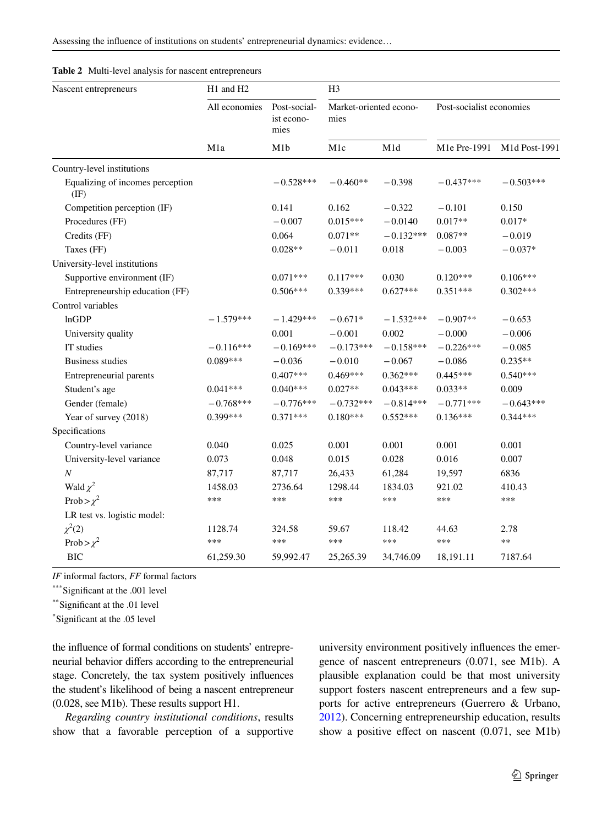Assessing the infuence of institutions on students' entrepreneurial dynamics: evidence…

| Nascent entrepreneurs                    | H1 and H2            |                                           | H <sub>3</sub>                 |             |                          |               |  |
|------------------------------------------|----------------------|-------------------------------------------|--------------------------------|-------------|--------------------------|---------------|--|
|                                          | All economies<br>M1a | Post-social-<br>ist econo-<br>mies<br>M1b | Market-oriented econo-<br>mies |             | Post-socialist economies |               |  |
|                                          |                      |                                           | M1c                            | M1d         | M1e Pre-1991             | M1d Post-1991 |  |
| Country-level institutions               |                      |                                           |                                |             |                          |               |  |
| Equalizing of incomes perception<br>(IF) |                      | $-0.528***$                               | $-0.460**$                     | $-0.398$    | $-0.437***$              | $-0.503***$   |  |
| Competition perception (IF)              |                      | 0.141                                     | 0.162                          | $-0.322$    | $-0.101$                 | 0.150         |  |
| Procedures (FF)                          |                      | $-0.007$                                  | $0.015***$                     | $-0.0140$   | $0.017**$                | $0.017*$      |  |
| Credits (FF)                             |                      | 0.064                                     | $0.071**$                      | $-0.132***$ | $0.087**$                | $-0.019$      |  |
| Taxes (FF)                               |                      | $0.028**$                                 | $-0.011$                       | 0.018       | $-0.003$                 | $-0.037*$     |  |
| University-level institutions            |                      |                                           |                                |             |                          |               |  |
| Supportive environment (IF)              |                      | $0.071***$                                | $0.117***$                     | 0.030       | $0.120***$               | $0.106***$    |  |
| Entrepreneurship education (FF)          |                      | $0.506***$                                | $0.339***$                     | $0.627***$  | $0.351***$               | $0.302***$    |  |
| Control variables                        |                      |                                           |                                |             |                          |               |  |
| lnGDP                                    | $-1.579***$          | $-1.429***$                               | $-0.671*$                      | $-1.532***$ | $-0.907**$               | $-0.653$      |  |
| University quality                       |                      | 0.001                                     | $-0.001$                       | 0.002       | $-0.000$                 | $-0.006$      |  |
| IT studies                               | $-0.116***$          | $-0.169***$                               | $-0.173***$                    | $-0.158***$ | $-0.226***$              | $-0.085$      |  |
| <b>Business studies</b>                  | $0.089***$           | $-0.036$                                  | $-0.010$                       | $-0.067$    | $-0.086$                 | $0.235**$     |  |
| Entrepreneurial parents                  |                      | $0.407***$                                | $0.469***$                     | $0.362***$  | $0.445***$               | $0.540***$    |  |
| Student's age                            | $0.041***$           | $0.040***$                                | $0.027**$                      | $0.043***$  | $0.033**$                | 0.009         |  |
| Gender (female)                          | $-0.768***$          | $-0.776***$                               | $-0.732***$                    | $-0.814***$ | $-0.771***$              | $-0.643***$   |  |
| Year of survey (2018)                    | 0.399***             | $0.371***$                                | $0.180***$                     | $0.552***$  | $0.136***$               | $0.344***$    |  |
| Specifications                           |                      |                                           |                                |             |                          |               |  |
| Country-level variance                   | 0.040                | 0.025                                     | 0.001                          | 0.001       | 0.001                    | 0.001         |  |
| University-level variance                | 0.073                | 0.048                                     | 0.015                          | 0.028       | 0.016                    | 0.007         |  |
| $\cal N$                                 | 87,717               | 87,717                                    | 26,433                         | 61,284      | 19,597                   | 6836          |  |
| Wald $\chi^2$                            | 1458.03              | 2736.64                                   | 1298.44                        | 1834.03     | 921.02                   | 410.43        |  |
| Prob $>\chi^2$                           | ***                  | ***                                       | ***                            | ***         | ***                      | ***           |  |
| LR test vs. logistic model:              |                      |                                           |                                |             |                          |               |  |
| $\chi^2(2)$                              | 1128.74              | 324.58                                    | 59.67                          | 118.42      | 44.63                    | 2.78          |  |
| Prob $>\chi^2$                           | ***                  | ***                                       | ***                            | ***         | ***                      | $**$          |  |
| <b>BIC</b>                               | 61,259.30            | 59,992.47                                 | 25,265.39                      | 34,746.09   | 18,191.11                | 7187.64       |  |

<span id="page-8-0"></span>**Table 2** Multi-level analysis for nascent entrepreneurs

*IF* informal factors, *FF* formal factors

\*\*\*Significant at the .001 level

\*\*Signifcant at the .01 level

\* Signifcant at the .05 level

the infuence of formal conditions on students' entrepreneurial behavior difers according to the entrepreneurial stage. Concretely, the tax system positively infuences the student's likelihood of being a nascent entrepreneur (0.028, see M1b). These results support H1.

*Regarding country institutional conditions*, results show that a favorable perception of a supportive university environment positively infuences the emergence of nascent entrepreneurs (0.071, see M1b). A plausible explanation could be that most university support fosters nascent entrepreneurs and a few supports for active entrepreneurs (Guerrero & Urbano, [2012\)](#page-14-13). Concerning entrepreneurship education, results show a positive effect on nascent (0.071, see M1b)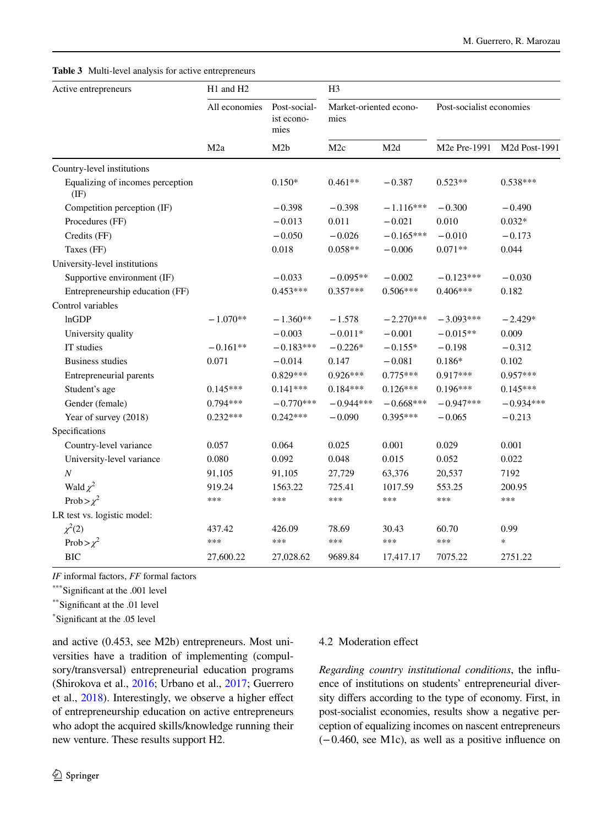<span id="page-9-0"></span>**Table 3** Multi-level analysis for active entrepreneurs

| Active entrepreneurs                              | H1 and H2        |                                           | H <sub>3</sub>                 |             |                          |               |  |
|---------------------------------------------------|------------------|-------------------------------------------|--------------------------------|-------------|--------------------------|---------------|--|
|                                                   | All economies    | Post-social-<br>ist econo-<br>mies<br>M2b | Market-oriented econo-<br>mies |             | Post-socialist economies |               |  |
|                                                   | M <sub>2</sub> a |                                           | M2c                            | M2d         | M2e Pre-1991             | M2d Post-1991 |  |
| Country-level institutions                        |                  |                                           |                                |             |                          |               |  |
| Equalizing of incomes perception<br>$(\text{IF})$ |                  | $0.150*$                                  | $0.461**$                      | $-0.387$    | $0.523**$                | $0.538***$    |  |
| Competition perception (IF)                       |                  | $-0.398$                                  | $-0.398$                       | $-1.116***$ | $-0.300$                 | $-0.490$      |  |
| Procedures (FF)                                   |                  | $-0.013$                                  | 0.011                          | $-0.021$    | 0.010                    | $0.032*$      |  |
| Credits (FF)                                      |                  | $-0.050$                                  | $-0.026$                       | $-0.165***$ | $-0.010$                 | $-0.173$      |  |
| Taxes (FF)                                        |                  | 0.018                                     | $0.058**$                      | $-0.006$    | $0.071**$                | 0.044         |  |
| University-level institutions                     |                  |                                           |                                |             |                          |               |  |
| Supportive environment (IF)                       |                  | $-0.033$                                  | $-0.095**$                     | $-0.002$    | $-0.123***$              | $-0.030$      |  |
| Entrepreneurship education (FF)                   |                  | $0.453***$                                | $0.357***$                     | $0.506***$  | $0.406***$               | 0.182         |  |
| Control variables                                 |                  |                                           |                                |             |                          |               |  |
| lnGDP                                             | $-1.070**$       | $-1.360**$                                | $-1.578$                       | $-2.270***$ | $-3.093***$              | $-2.429*$     |  |
| University quality                                |                  | $-0.003$                                  | $-0.011*$                      | $-0.001$    | $-0.015**$               | 0.009         |  |
| IT studies                                        | $-0.161**$       | $-0.183***$                               | $-0.226*$                      | $-0.155*$   | $-0.198$                 | $-0.312$      |  |
| <b>Business studies</b>                           | 0.071            | $-0.014$                                  | 0.147                          | $-0.081$    | $0.186*$                 | 0.102         |  |
| Entrepreneurial parents                           |                  | $0.829***$                                | $0.926***$                     | $0.775***$  | $0.917***$               | $0.957***$    |  |
| Student's age                                     | $0.145***$       | $0.141***$                                | $0.184***$                     | $0.126***$  | $0.196***$               | $0.145***$    |  |
| Gender (female)                                   | $0.794***$       | $-0.770***$                               | $-0.944***$                    | $-0.668***$ | $-0.947***$              | $-0.934***$   |  |
| Year of survey (2018)                             | $0.232***$       | $0.242***$                                | $-0.090$                       | $0.395***$  | $-0.065$                 | $-0.213$      |  |
| Specifications                                    |                  |                                           |                                |             |                          |               |  |
| Country-level variance                            | 0.057            | 0.064                                     | 0.025                          | 0.001       | 0.029                    | 0.001         |  |
| University-level variance                         | 0.080            | 0.092                                     | 0.048                          | 0.015       | 0.052                    | 0.022         |  |
| $\boldsymbol{N}$                                  | 91,105           | 91,105                                    | 27,729                         | 63,376      | 20,537                   | 7192          |  |
| Wald $\chi^2$                                     | 919.24           | 1563.22                                   | 725.41                         | 1017.59     | 553.25                   | 200.95        |  |
| Prob > $\chi^2$                                   | ***              | ***                                       | ***                            | ***         | ***                      | ***           |  |
| LR test vs. logistic model:                       |                  |                                           |                                |             |                          |               |  |
| $\chi^2(2)$                                       | 437.42           | 426.09                                    | 78.69                          | 30.43       | 60.70                    | 0.99          |  |
| Prob > $\chi^2$                                   | ***              | ***                                       | ***                            | ***         | ***                      | $\ast$        |  |
| <b>BIC</b>                                        | 27,600.22        | 27,028.62                                 | 9689.84                        | 17,417.17   | 7075.22                  | 2751.22       |  |

*IF* informal factors, *FF* formal factors

\*\*\*Significant at the .001 level

\*\*Signifcant at the .01 level

\* Signifcant at the .05 level

and active (0.453, see M2b) entrepreneurs. Most universities have a tradition of implementing (compulsory/transversal) entrepreneurial education programs (Shirokova et al., [2016;](#page-15-27) Urbano et al., [2017;](#page-15-0) Guerrero et al., [2018](#page-14-3)). Interestingly, we observe a higher efect of entrepreneurship education on active entrepreneurs who adopt the acquired skills/knowledge running their new venture. These results support H2.

# $\underline{\textcircled{\tiny 2}}$  Springer

## 4.2 Moderation efect

*Regarding country institutional conditions*, the infuence of institutions on students' entrepreneurial diversity difers according to the type of economy. First, in post-socialist economies, results show a negative perception of equalizing incomes on nascent entrepreneurs (−0.460, see M1c), as well as a positive infuence on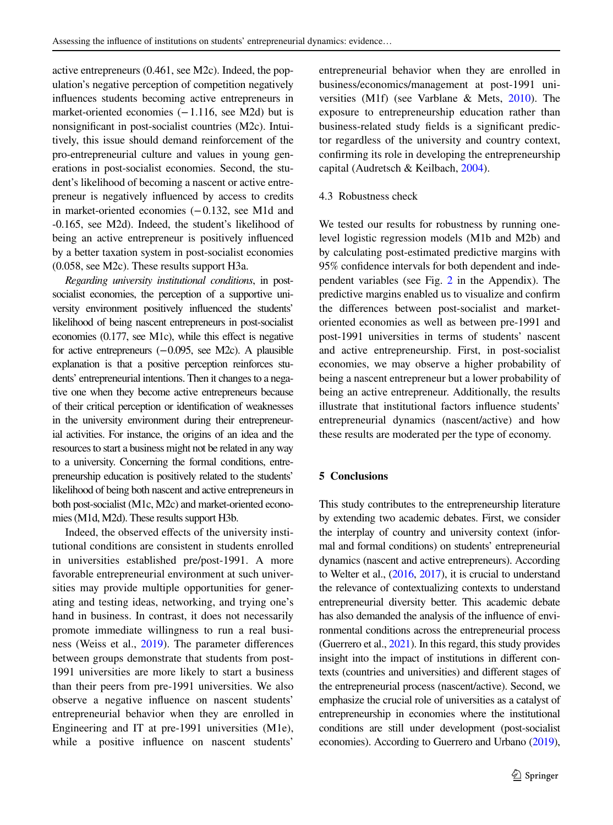active entrepreneurs (0.461, see M2c). Indeed, the population's negative perception of competition negatively infuences students becoming active entrepreneurs in market-oriented economies (−1.116, see M2d) but is nonsignifcant in post-socialist countries (M2c). Intuitively, this issue should demand reinforcement of the pro-entrepreneurial culture and values in young generations in post-socialist economies. Second, the student's likelihood of becoming a nascent or active entrepreneur is negatively infuenced by access to credits in market-oriented economies (−0.132, see M1d and -0.165, see M2d). Indeed, the student's likelihood of being an active entrepreneur is positively infuenced by a better taxation system in post-socialist economies (0.058, see M2c). These results support H3a.

*Regarding university institutional conditions*, in postsocialist economies, the perception of a supportive university environment positively infuenced the students' likelihood of being nascent entrepreneurs in post-socialist economies (0.177, see M1c), while this effect is negative for active entrepreneurs (−0.095, see M2c). A plausible explanation is that a positive perception reinforces students' entrepreneurial intentions. Then it changes to a negative one when they become active entrepreneurs because of their critical perception or identifcation of weaknesses in the university environment during their entrepreneurial activities. For instance, the origins of an idea and the resources to start a business might not be related in any way to a university. Concerning the formal conditions, entrepreneurship education is positively related to the students' likelihood of being both nascent and active entrepreneurs in both post-socialist (M1c, M2c) and market-oriented economies (M1d, M2d). These results support H3b.

Indeed, the observed efects of the university institutional conditions are consistent in students enrolled in universities established pre/post-1991. A more favorable entrepreneurial environment at such universities may provide multiple opportunities for generating and testing ideas, networking, and trying one's hand in business. In contrast, it does not necessarily promote immediate willingness to run a real business (Weiss et al., [2019\)](#page-16-4). The parameter diferences between groups demonstrate that students from post-1991 universities are more likely to start a business than their peers from pre-1991 universities. We also observe a negative infuence on nascent students' entrepreneurial behavior when they are enrolled in Engineering and IT at pre-1991 universities (M1e), while a positive infuence on nascent students'

entrepreneurial behavior when they are enrolled in business/economics/management at post-1991 universities (M1f) (see Varblane & Mets, [2010\)](#page-16-5). The exposure to entrepreneurship education rather than business-related study felds is a signifcant predictor regardless of the university and country context, confrming its role in developing the entrepreneurship capital (Audretsch & Keilbach, [2004\)](#page-14-21).

#### 4.3 Robustness check

We tested our results for robustness by running onelevel logistic regression models (M1b and M2b) and by calculating post-estimated predictive margins with 95% confdence intervals for both dependent and independent variables (see Fig. [2](#page-13-0) in the Appendix). The predictive margins enabled us to visualize and confrm the diferences between post-socialist and marketoriented economies as well as between pre-1991 and post-1991 universities in terms of students' nascent and active entrepreneurship. First, in post-socialist economies, we may observe a higher probability of being a nascent entrepreneur but a lower probability of being an active entrepreneur. Additionally, the results illustrate that institutional factors infuence students' entrepreneurial dynamics (nascent/active) and how these results are moderated per the type of economy.

## <span id="page-10-0"></span>**5 Conclusions**

This study contributes to the entrepreneurship literature by extending two academic debates. First, we consider the interplay of country and university context (informal and formal conditions) on students' entrepreneurial dynamics (nascent and active entrepreneurs). According to Welter et al., [\(2016](#page-16-0), [2017\)](#page-16-1), it is crucial to understand the relevance of contextualizing contexts to understand entrepreneurial diversity better. This academic debate has also demanded the analysis of the infuence of environmental conditions across the entrepreneurial process (Guerrero et al., [2021\)](#page-14-0). In this regard, this study provides insight into the impact of institutions in diferent contexts (countries and universities) and diferent stages of the entrepreneurial process (nascent/active). Second, we emphasize the crucial role of universities as a catalyst of entrepreneurship in economies where the institutional conditions are still under development (post-socialist economies). According to Guerrero and Urbano [\(2019\)](#page-14-6),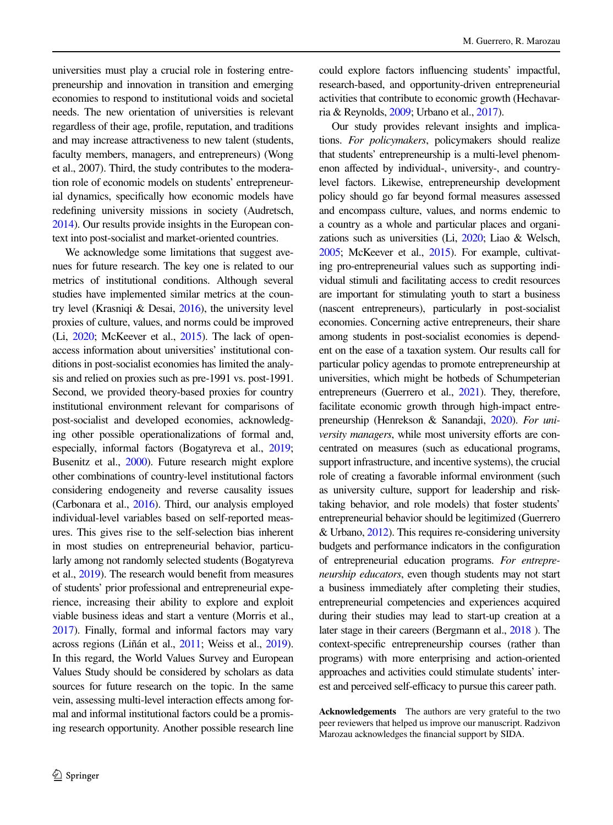universities must play a crucial role in fostering entrepreneurship and innovation in transition and emerging economies to respond to institutional voids and societal needs. The new orientation of universities is relevant regardless of their age, profle, reputation, and traditions and may increase attractiveness to new talent (students, faculty members, managers, and entrepreneurs) (Wong et al., 2007). Third, the study contributes to the moderation role of economic models on students' entrepreneurial dynamics, specifcally how economic models have redefning university missions in society (Audretsch, [2014\)](#page-14-22). Our results provide insights in the European context into post-socialist and market-oriented countries.

We acknowledge some limitations that suggest avenues for future research. The key one is related to our metrics of institutional conditions. Although several studies have implemented similar metrics at the country level (Krasniqi & Desai, [2016](#page-15-29)), the university level proxies of culture, values, and norms could be improved (Li, [2020;](#page-15-5) McKeever et al., [2015](#page-15-3)). The lack of openaccess information about universities' institutional conditions in post-socialist economies has limited the analysis and relied on proxies such as pre-1991 vs. post-1991. Second, we provided theory-based proxies for country institutional environment relevant for comparisons of post-socialist and developed economies, acknowledging other possible operationalizations of formal and, especially, informal factors (Bogatyreva et al., [2019](#page-14-7); Busenitz et al., [2000](#page-14-14)). Future research might explore other combinations of country-level institutional factors considering endogeneity and reverse causality issues (Carbonara et al., [2016](#page-14-17)). Third, our analysis employed individual-level variables based on self-reported measures. This gives rise to the self-selection bias inherent in most studies on entrepreneurial behavior, particularly among not randomly selected students (Bogatyreva et al., [2019\)](#page-14-7). The research would beneft from measures of students' prior professional and entrepreneurial experience, increasing their ability to explore and exploit viable business ideas and start a venture (Morris et al., [2017\)](#page-15-30). Finally, formal and informal factors may vary across regions (Liñán et al., [2011](#page-15-14); Weiss et al., [2019\)](#page-16-4). In this regard, the World Values Survey and European Values Study should be considered by scholars as data sources for future research on the topic. In the same vein, assessing multi-level interaction efects among formal and informal institutional factors could be a promising research opportunity. Another possible research line

could explore factors infuencing students' impactful, research-based, and opportunity-driven entrepreneurial activities that contribute to economic growth (Hechavarria & Reynolds, [2009;](#page-14-23) Urbano et al., [2017\)](#page-15-0).

Our study provides relevant insights and implications. *For policymakers*, policymakers should realize that students' entrepreneurship is a multi-level phenomenon afected by individual-, university-, and countrylevel factors. Likewise, entrepreneurship development policy should go far beyond formal measures assessed and encompass culture, values, and norms endemic to a country as a whole and particular places and organizations such as universities (Li, [2020](#page-15-5); Liao & Welsch, [2005;](#page-15-6) McKeever et al., [2015](#page-15-3)). For example, cultivating pro-entrepreneurial values such as supporting individual stimuli and facilitating access to credit resources are important for stimulating youth to start a business (nascent entrepreneurs), particularly in post-socialist economies. Concerning active entrepreneurs, their share among students in post-socialist economies is dependent on the ease of a taxation system. Our results call for particular policy agendas to promote entrepreneurship at universities, which might be hotbeds of Schumpeterian entrepreneurs (Guerrero et al., [2021\)](#page-14-0). They, therefore, facilitate economic growth through high-impact entrepreneurship (Henrekson & Sanandaji, [2020](#page-15-31)). *For university managers*, while most university efforts are concentrated on measures (such as educational programs, support infrastructure, and incentive systems), the crucial role of creating a favorable informal environment (such as university culture, support for leadership and risktaking behavior, and role models) that foster students' entrepreneurial behavior should be legitimized (Guerrero & Urbano, [2012\)](#page-14-13). This requires re-considering university budgets and performance indicators in the confguration of entrepreneurial education programs. *For entrepreneurship educators*, even though students may not start a business immediately after completing their studies, entrepreneurial competencies and experiences acquired during their studies may lead to start-up creation at a later stage in their careers (Bergmann et al., [2018](#page-14-5) ). The context-specifc entrepreneurship courses (rather than programs) with more enterprising and action-oriented approaches and activities could stimulate students' interest and perceived self-efficacy to pursue this career path.

**Acknowledgements** The authors are very grateful to the two peer reviewers that helped us improve our manuscript. Radzivon Marozau acknowledges the fnancial support by SIDA.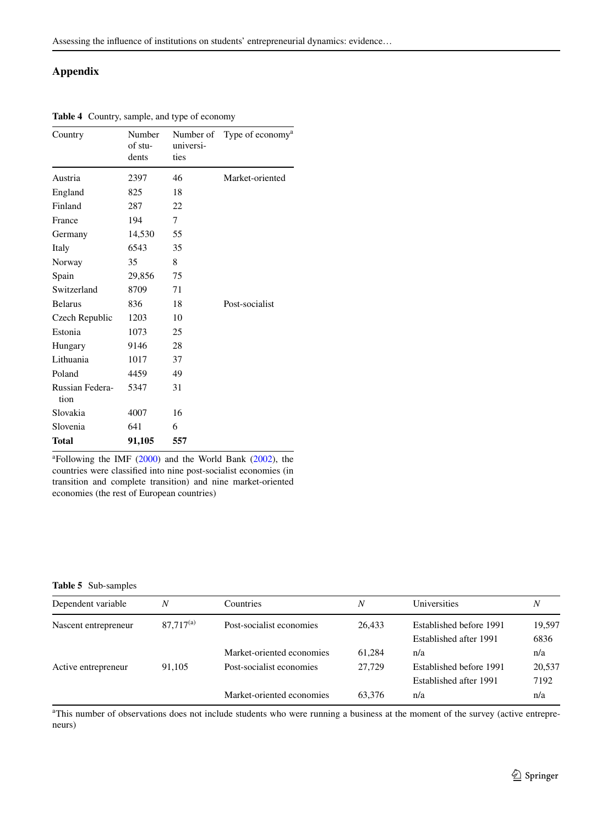## **Appendix**

| Country                 | Number<br>of stu-<br>dents | universi-<br>ties | Number of Type of economy <sup>a</sup> |
|-------------------------|----------------------------|-------------------|----------------------------------------|
| Austria                 | 2397                       | 46                | Market-oriented                        |
| England                 | 825                        | 18                |                                        |
| Finland                 | 287                        | 22                |                                        |
| France                  | 194                        | 7                 |                                        |
| Germany                 | 14,530                     | 55                |                                        |
| Italy                   | 6543                       | 35                |                                        |
| Norway                  | 35                         | 8                 |                                        |
| Spain                   | 29,856                     | 75                |                                        |
| Switzerland             | 8709                       | 71                |                                        |
| <b>Belarus</b>          | 836                        | 18                | Post-socialist                         |
| Czech Republic          | 1203                       | 10                |                                        |
| Estonia                 | 1073                       | 25                |                                        |
| Hungary                 | 9146                       | 28                |                                        |
| Lithuania               | 1017                       | 37                |                                        |
| Poland                  | 4459                       | 49                |                                        |
| Russian Federa-<br>tion | 5347                       | 31                |                                        |
| Slovakia                | 4007                       | 16                |                                        |
| Slovenia                | 641                        | 6                 |                                        |
| <b>Total</b>            | 91,105                     | 557               |                                        |

<span id="page-12-0"></span>**Table 4** Country, sample, and type of economy

 $\text{a}^2$ Following the IMF ([2000\)](#page-15-26) and the World Bank [\(2002](#page-16-6)), the countries were classifed into nine post-socialist economies (in transition and complete transition) and nine market-oriented economies (the rest of European countries)

#### <span id="page-12-1"></span>**Table 5** Sub-samples

| Dependent variable   | Ν              | <b>Countries</b>          | Ν      | Universities            | Ν      |
|----------------------|----------------|---------------------------|--------|-------------------------|--------|
| Nascent entrepreneur | $87.717^{(a)}$ | Post-socialist economies  | 26.433 | Established before 1991 | 19,597 |
|                      |                |                           |        | Established after 1991  | 6836   |
|                      |                | Market-oriented economies | 61.284 | n/a                     | n/a    |
| Active entrepreneur  | 91.105         | Post-socialist economies  | 27.729 | Established before 1991 | 20,537 |
|                      |                |                           |        | Established after 1991  | 7192   |
|                      |                | Market-oriented economies | 63.376 | n/a                     | n/a    |

a This number of observations does not include students who were running a business at the moment of the survey (active entrepreneurs)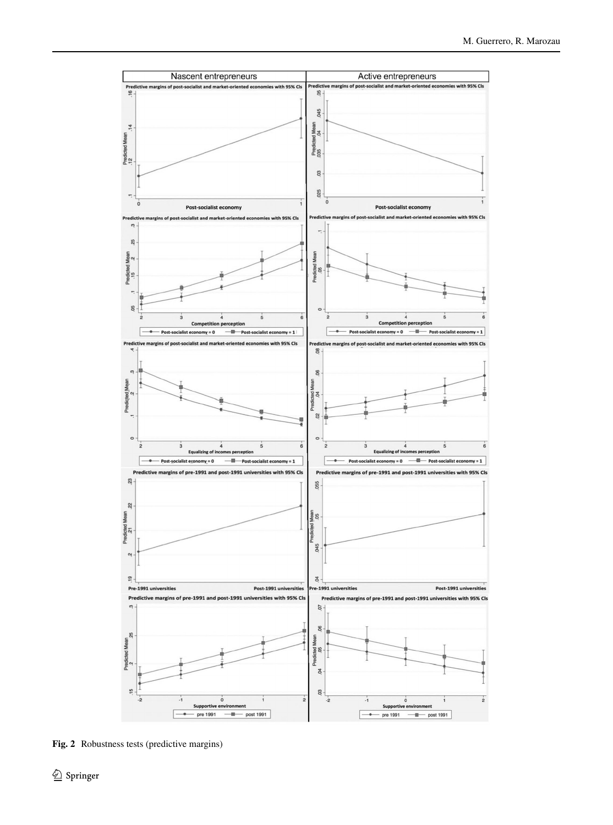

<span id="page-13-0"></span>**Fig. 2** Robustness tests (predictive margins)

 $\underline{\textcircled{\tiny 2}}$  Springer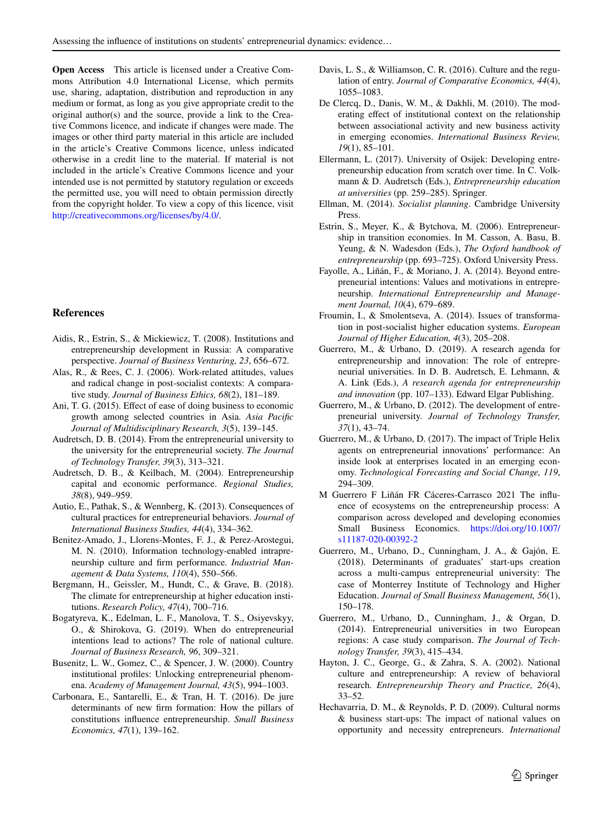**Open Access** This article is licensed under a Creative Commons Attribution 4.0 International License, which permits use, sharing, adaptation, distribution and reproduction in any medium or format, as long as you give appropriate credit to the original author(s) and the source, provide a link to the Creative Commons licence, and indicate if changes were made. The images or other third party material in this article are included in the article's Creative Commons licence, unless indicated otherwise in a credit line to the material. If material is not included in the article's Creative Commons licence and your intended use is not permitted by statutory regulation or exceeds the permitted use, you will need to obtain permission directly from the copyright holder. To view a copy of this licence, visit <http://creativecommons.org/licenses/by/4.0/>.

#### **References**

- <span id="page-14-8"></span>Aidis, R., Estrin, S., & Mickiewicz, T. (2008). Institutions and entrepreneurship development in Russia: A comparative perspective. *Journal of Business Venturing, 23*, 656–672.
- <span id="page-14-15"></span>Alas, R., & Rees, C. J. (2006). Work-related attitudes, values and radical change in post-socialist contexts: A comparative study. *Journal of Business Ethics, 68*(2), 181–189.
- <span id="page-14-10"></span>Ani, T. G. (2015). Efect of ease of doing business to economic growth among selected countries in Asia. *Asia Pacifc Journal of Multidisciplinary Research, 3*(5), 139–145.
- <span id="page-14-22"></span>Audretsch, D. B. (2014). From the entrepreneurial university to the university for the entrepreneurial society. *The Journal of Technology Transfer, 39*(3), 313–321.
- <span id="page-14-21"></span>Audretsch, D. B., & Keilbach, M. (2004). Entrepreneurship capital and economic performance. *Regional Studies, 38*(8), 949–959.
- <span id="page-14-20"></span>Autio, E., Pathak, S., & Wennberg, K. (2013). Consequences of cultural practices for entrepreneurial behaviors. *Journal of International Business Studies, 44*(4), 334–362.
- Benitez-Amado, J., Llorens-Montes, F. J., & Perez-Arostegui, M. N. (2010). Information technology-enabled intrapreneurship culture and frm performance. *Industrial Management & Data Systems, 110*(4), 550–566.
- <span id="page-14-5"></span>Bergmann, H., Geissler, M., Hundt, C., & Grave, B. (2018). The climate for entrepreneurship at higher education institutions. *Research Policy, 47*(4), 700–716.
- <span id="page-14-7"></span>Bogatyreva, K., Edelman, L. F., Manolova, T. S., Osiyevskyy, O., & Shirokova, G. (2019). When do entrepreneurial intentions lead to actions? The role of national culture. *Journal of Business Research, 96*, 309–321.
- <span id="page-14-14"></span>Busenitz, L. W., Gomez, C., & Spencer, J. W. (2000). Country institutional profles: Unlocking entrepreneurial phenomena. *Academy of Management Journal, 43*(5), 994–1003.
- <span id="page-14-17"></span>Carbonara, E., Santarelli, E., & Tran, H. T. (2016). De jure determinants of new frm formation: How the pillars of constitutions infuence entrepreneurship. *Small Business Economics, 47*(1), 139–162.
- <span id="page-14-9"></span>Davis, L. S., & Williamson, C. R. (2016). Culture and the regulation of entry. *Journal of Comparative Economics, 44*(4), 1055–1083.
- <span id="page-14-11"></span>De Clercq, D., Danis, W. M., & Dakhli, M. (2010). The moderating effect of institutional context on the relationship between associational activity and new business activity in emerging economies. *International Business Review, 19*(1), 85–101.
- <span id="page-14-18"></span>Ellermann, L. (2017). University of Osijek: Developing entrepreneurship education from scratch over time. In C. Volkmann & D. Audretsch (Eds.), *Entrepreneurship education at universities* (pp. 259–285). Springer.
- <span id="page-14-16"></span>Ellman, M. (2014). *Socialist planning*. Cambridge University Press.
- <span id="page-14-1"></span>Estrin, S., Meyer, K., & Bytchova, M. (2006). Entrepreneurship in transition economies. In M. Casson, A. Basu, B. Yeung, & N. Wadesdon (Eds.), *The Oxford handbook of entrepreneurship* (pp. 693–725). Oxford University Press.
- <span id="page-14-12"></span>Fayolle, A., Liñán, F., & Moriano, J. A. (2014). Beyond entrepreneurial intentions: Values and motivations in entrepreneurship. *International Entrepreneurship and Management Journal, 10*(4), 679–689.
- <span id="page-14-19"></span>Froumin, I., & Smolentseva, A. (2014). Issues of transformation in post-socialist higher education systems. *European Journal of Higher Education, 4*(3), 205–208.
- <span id="page-14-6"></span>Guerrero, M., & Urbano, D. (2019). A research agenda for entrepreneurship and innovation: The role of entrepreneurial universities. In D. B. Audretsch, E. Lehmann, & A. Link (Eds.), *A research agenda for entrepreneurship and innovation* (pp. 107–133). Edward Elgar Publishing.
- <span id="page-14-13"></span>Guerrero, M., & Urbano, D. (2012). The development of entrepreneurial university. *Journal of Technology Transfer, 37*(1), 43–74.
- Guerrero, M., & Urbano, D. (2017). The impact of Triple Helix agents on entrepreneurial innovations' performance: An inside look at enterprises located in an emerging economy. *Technological Forecasting and Social Change, 119*, 294–309.
- <span id="page-14-0"></span>M Guerrero F Liñán FR Cáceres-Carrasco 2021 The infuence of ecosystems on the entrepreneurship process: A comparison across developed and developing economies Small Business Economics. [https://doi.org/10.1007/](https://doi.org/10.1007/s11187-020-00392-2) [s11187-020-00392-2](https://doi.org/10.1007/s11187-020-00392-2)
- <span id="page-14-3"></span>Guerrero, M., Urbano, D., Cunningham, J. A., & Gajón, E. (2018). Determinants of graduates' start-ups creation across a multi-campus entrepreneurial university: The case of Monterrey Institute of Technology and Higher Education. *Journal of Small Business Management, 56*(1), 150–178.
- <span id="page-14-4"></span>Guerrero, M., Urbano, D., Cunningham, J., & Organ, D. (2014). Entrepreneurial universities in two European regions: A case study comparison. *The Journal of Technology Transfer, 39*(3), 415–434.
- <span id="page-14-2"></span>Hayton, J. C., George, G., & Zahra, S. A. (2002). National culture and entrepreneurship: A review of behavioral research. *Entrepreneurship Theory and Practice, 26*(4), 33–52.
- <span id="page-14-23"></span>Hechavarria, D. M., & Reynolds, P. D. (2009). Cultural norms & business start-ups: The impact of national values on opportunity and necessity entrepreneurs. *International*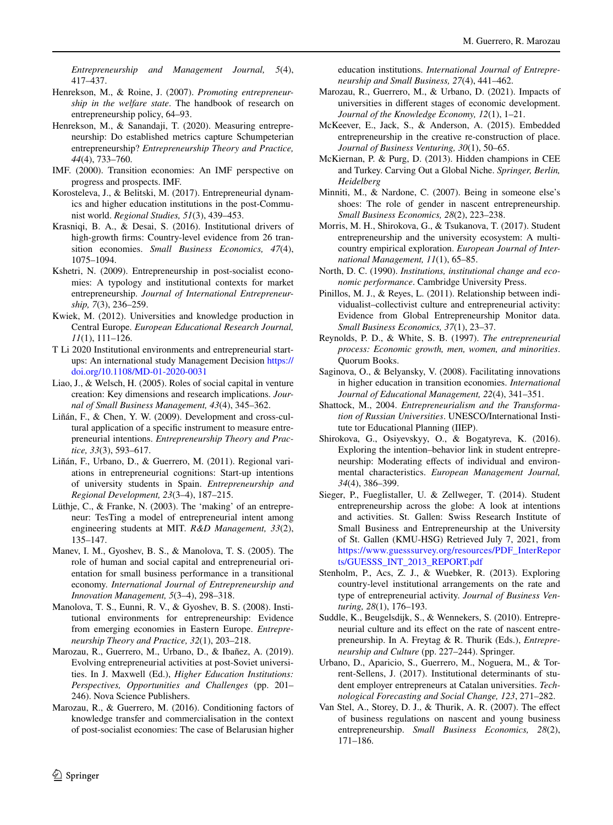*Entrepreneurship and Management Journal, 5*(4), 417–437.

- <span id="page-15-16"></span>Henrekson, M., & Roine, J. (2007). *Promoting entrepreneurship in the welfare state*. The handbook of research on entrepreneurship policy, 64–93.
- <span id="page-15-31"></span>Henrekson, M., & Sanandaji, T. (2020). Measuring entrepreneurship: Do established metrics capture Schumpeterian entrepreneurship? *Entrepreneurship Theory and Practice, 44*(4), 733–760.
- <span id="page-15-26"></span>IMF. (2000). Transition economies: An IMF perspective on progress and prospects. IMF.
- <span id="page-15-24"></span>Korosteleva, J., & Belitski, M. (2017). Entrepreneurial dynamics and higher education institutions in the post-Communist world. *Regional Studies, 51*(3), 439–453.
- <span id="page-15-29"></span>Krasniqi, B. A., & Desai, S. (2016). Institutional drivers of high-growth frms: Country-level evidence from 26 transition economies. *Small Business Economics, 47*(4), 1075–1094.
- <span id="page-15-19"></span>Kshetri, N. (2009). Entrepreneurship in post-socialist economies: A typology and institutional contexts for market entrepreneurship. *Journal of International Entrepreneurship, 7*(3), 236–259.
- <span id="page-15-15"></span>Kwiek, M. (2012). Universities and knowledge production in Central Europe. *European Educational Research Journal, 11*(1), 111–126.
- <span id="page-15-5"></span>T Li 2020 Institutional environments and entrepreneurial startups: An international study Management Decision [https://](https://doi.org/10.1108/MD-01-2020-0031) [doi.org/10.1108/MD-01-2020-0031](https://doi.org/10.1108/MD-01-2020-0031)
- <span id="page-15-6"></span>Liao, J., & Welsch, H. (2005). Roles of social capital in venture creation: Key dimensions and research implications. *Journal of Small Business Management, 43*(4), 345–362.
- <span id="page-15-13"></span>Liñán, F., & Chen, Y. W. (2009). Development and cross-cultural application of a specifc instrument to measure entrepreneurial intentions. *Entrepreneurship Theory and Practice, 33*(3), 593–617.
- <span id="page-15-14"></span>Liñán, F., Urbano, D., & Guerrero, M. (2011). Regional variations in entrepreneurial cognitions: Start-up intentions of university students in Spain. *Entrepreneurship and Regional Development, 23*(3–4), 187–215.
- <span id="page-15-18"></span>Lüthje, C., & Franke, N. (2003). The 'making' of an entrepreneur: TesTing a model of entrepreneurial intent among engineering students at MIT. *R&D Management, 33*(2), 135–147.
- <span id="page-15-25"></span>Manev, I. M., Gyoshev, B. S., & Manolova, T. S. (2005). The role of human and social capital and entrepreneurial orientation for small business performance in a transitional economy. *International Journal of Entrepreneurship and Innovation Management, 5*(3–4), 298–318.
- <span id="page-15-2"></span>Manolova, T. S., Eunni, R. V., & Gyoshev, B. S. (2008). Institutional environments for entrepreneurship: Evidence from emerging economies in Eastern Europe. *Entrepreneurship Theory and Practice, 32*(1), 203–218.
- <span id="page-15-8"></span>Marozau, R., Guerrero, M., Urbano, D., & Ibañez, A. (2019). Evolving entrepreneurial activities at post-Soviet universities. In J. Maxwell (Ed.), *Higher Education Institutions: Perspectives, Opportunities and Challenges* (pp. 201– 246). Nova Science Publishers.
- <span id="page-15-23"></span>Marozau, R., & Guerrero, M. (2016). Conditioning factors of knowledge transfer and commercialisation in the context of post-socialist economies: The case of Belarusian higher

education institutions. *International Journal of Entrepreneurship and Small Business, 27*(4), 441–462.

- <span id="page-15-9"></span>Marozau, R., Guerrero, M., & Urbano, D. (2021). Impacts of universities in diferent stages of economic development. *Journal of the Knowledge Economy, 12*(1), 1–21.
- <span id="page-15-3"></span>McKeever, E., Jack, S., & Anderson, A. (2015). Embedded entrepreneurship in the creative re-construction of place. *Journal of Business Venturing, 30*(1), 50–65.
- <span id="page-15-10"></span>McKiernan, P. & Purg, D. (2013). Hidden champions in CEE and Turkey. Carving Out a Global Niche. *Springer, Berlin, Heidelberg*
- <span id="page-15-17"></span>Minniti, M., & Nardone, C. (2007). Being in someone else's shoes: The role of gender in nascent entrepreneurship. *Small Business Economics, 28*(2), 223–238.
- <span id="page-15-30"></span>Morris, M. H., Shirokova, G., & Tsukanova, T. (2017). Student entrepreneurship and the university ecosystem: A multicountry empirical exploration. *European Journal of International Management, 11*(1), 65–85.
- <span id="page-15-4"></span>North, D. C. (1990). *Institutions, institutional change and economic performance*. Cambridge University Press.
- <span id="page-15-20"></span>Pinillos, M. J., & Reyes, L. (2011). Relationship between individualist–collectivist culture and entrepreneurial activity: Evidence from Global Entrepreneurship Monitor data. *Small Business Economics, 37*(1), 23–37.
- <span id="page-15-11"></span>Reynolds, P. D., & White, S. B. (1997). *The entrepreneurial process: Economic growth, men, women, and minorities*. Quorum Books.
- <span id="page-15-22"></span>Saginova, O., & Belyansky, V. (2008). Facilitating innovations in higher education in transition economies. *International Journal of Educational Management, 22*(4), 341–351.
- <span id="page-15-21"></span>Shattock, M., 2004. *Entrepreneurialism and the Transformation of Russian Universities*. UNESCO/International Institute tor Educational Planning (IIEP).
- <span id="page-15-27"></span>Shirokova, G., Osiyevskyy, O., & Bogatyreva, K. (2016). Exploring the intention–behavior link in student entrepreneurship: Moderating efects of individual and environmental characteristics. *European Management Journal, 34*(4), 386–399.
- <span id="page-15-28"></span>Sieger, P., Fueglistaller, U. & Zellweger, T. (2014). Student entrepreneurship across the globe: A look at intentions and activities. St. Gallen: Swiss Research Institute of Small Business and Entrepreneurship at the University of St. Gallen (KMU-HSG) Retrieved July 7, 2021, from [https://www.guesssurvey.org/resources/PDF\\_InterRepor](https://www.guesssurvey.org/resources/PDF_InterReports/GUESSS_INT_2013_REPORT.pdf) [ts/GUESSS\\_INT\\_2013\\_REPORT.pdf](https://www.guesssurvey.org/resources/PDF_InterReports/GUESSS_INT_2013_REPORT.pdf)
- <span id="page-15-12"></span>Stenholm, P., Acs, Z. J., & Wuebker, R. (2013). Exploring country-level institutional arrangements on the rate and type of entrepreneurial activity. *Journal of Business Venturing, 28*(1), 176–193.
- <span id="page-15-7"></span>Suddle, K., Beugelsdijk, S., & Wennekers, S. (2010). Entrepreneurial culture and its efect on the rate of nascent entrepreneurship. In A. Freytag & R. Thurik (Eds.), *Entrepreneurship and Culture* (pp. 227–244). Springer.
- <span id="page-15-0"></span>Urbano, D., Aparicio, S., Guerrero, M., Noguera, M., & Torrent-Sellens, J. (2017). Institutional determinants of student employer entrepreneurs at Catalan universities. *Technological Forecasting and Social Change, 123*, 271–282.
- <span id="page-15-1"></span>Van Stel, A., Storey, D. J., & Thurik, A. R. (2007). The efect of business regulations on nascent and young business entrepreneurship. *Small Business Economics, 28*(2), 171–186.